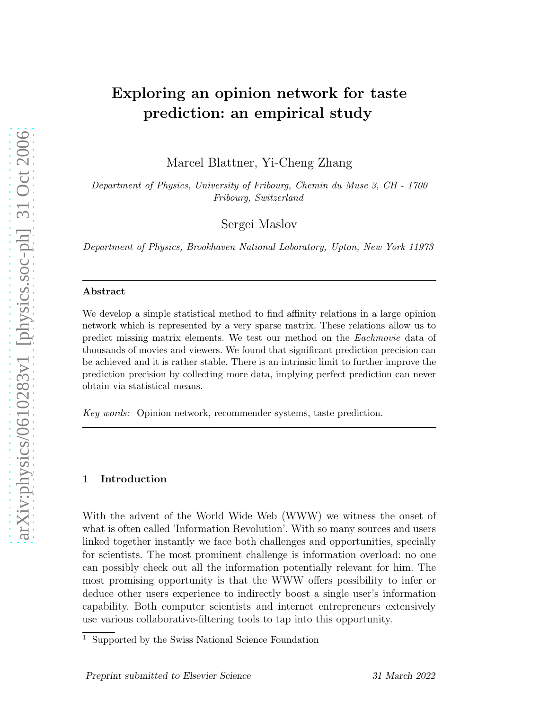# Exploring an opinion network for taste prediction: an empirical study

Marcel Blattner, Yi-Cheng Zhang

Department of Physics, University of Fribourg, Chemin du Muse 3, CH - 1700 Fribourg, Switzerland

Sergei Maslov

Department of Physics, Brookhaven National Laboratory, Upton, New York 11973

#### Abstract

We develop a simple statistical method to find affinity relations in a large opinion network which is represented by a very sparse matrix. These relations allow us to predict missing matrix elements. We test our method on the Eachmovie data of thousands of movies and viewers. We found that significant prediction precision can be achieved and it is rather stable. There is an intrinsic limit to further improve the prediction precision by collecting more data, implying perfect prediction can never obtain via statistical means.

Key words: Opinion network, recommender systems, taste prediction.

## 1 Introduction

With the advent of the World Wide Web (WWW) we witness the onset of what is often called 'Information Revolution'. With so many sources and users linked together instantly we face both challenges and opportunities, specially for scientists. The most prominent challenge is information overload: no one can possibly check out all the information potentially relevant for him. The most promising opportunity is that the WWW offers possibility to infer or deduce other users experience to indirectly boost a single user's information capability. Both computer scientists and internet entrepreneurs extensively use various collaborative-filtering tools to tap into this opportunity.

<sup>1</sup> Supported by the Swiss National Science Foundation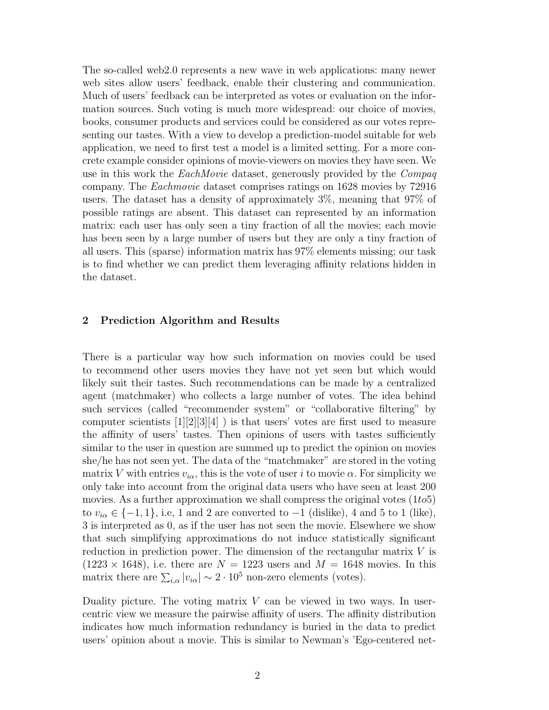The so-called web2.0 represents a new wave in web applications: many newer web sites allow users' feedback, enable their clustering and communication. Much of users' feedback can be interpreted as votes or evaluation on the information sources. Such voting is much more widespread: our choice of movies, books, consumer products and services could be considered as our votes representing our tastes. With a view to develop a prediction-model suitable for web application, we need to first test a model is a limited setting. For a more concrete example consider opinions of movie-viewers on movies they have seen. We use in this work the EachMovie dataset, generously provided by the Compaq company. The Eachmovie dataset comprises ratings on 1628 movies by 72916 users. The dataset has a density of approximately 3%, meaning that 97% of possible ratings are absent. This dataset can represented by an information matrix: each user has only seen a tiny fraction of all the movies; each movie has been seen by a large number of users but they are only a tiny fraction of all users. This (sparse) information matrix has 97% elements missing; our task is to find whether we can predict them leveraging affinity relations hidden in the dataset.

### 2 Prediction Algorithm and Results

There is a particular way how such information on movies could be used to recommend other users movies they have not yet seen but which would likely suit their tastes. Such recommendations can be made by a centralized agent (matchmaker) who collects a large number of votes. The idea behind such services (called "recommender system" or "collaborative filtering" by computer scientists  $[1][2][3][4]$  ) is that users' votes are first used to measure the affinity of users' tastes. Then opinions of users with tastes sufficiently similar to the user in question are summed up to predict the opinion on movies she/he has not seen yet. The data of the "matchmaker" are stored in the voting matrix V with entries  $v_{i\alpha}$ , this is the vote of user i to movie  $\alpha$ . For simplicity we only take into account from the original data users who have seen at least 200 movies. As a further approximation we shall compress the original votes  $(1to5)$ to  $v_{i\alpha} \in \{-1, 1\}$ , i.e, 1 and 2 are converted to  $-1$  (dislike), 4 and 5 to 1 (like), 3 is interpreted as 0, as if the user has not seen the movie. Elsewhere we show that such simplifying approximations do not induce statistically significant reduction in prediction power. The dimension of the rectangular matrix V is  $(1223 \times 1648)$ , i.e. there are  $N = 1223$  users and  $M = 1648$  movies. In this matrix there are  $\sum_{i,\alpha} |v_{i\alpha}| \sim 2 \cdot 10^5$  non-zero elements (votes).

Duality picture. The voting matrix  $V$  can be viewed in two ways. In usercentric view we measure the pairwise affinity of users. The affinity distribution indicates how much information redundancy is buried in the data to predict users' opinion about a movie. This is similar to Newman's 'Ego-centered net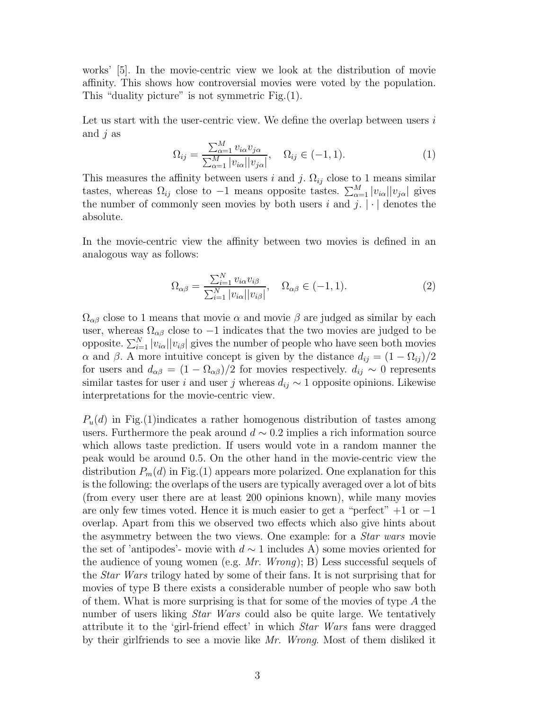works' [5]. In the movie-centric view we look at the distribution of movie affinity. This shows how controversial movies were voted by the population. This "duality picture" is not symmetric Fig.(1).

Let us start with the user-centric view. We define the overlap between users  $i$ and  $j$  as

$$
\Omega_{ij} = \frac{\sum_{\alpha=1}^{M} v_{i\alpha} v_{j\alpha}}{\sum_{\alpha=1}^{M} |v_{i\alpha}| |v_{j\alpha}|}, \quad \Omega_{ij} \in (-1, 1).
$$
\n(1)

This measures the affinity between users i and j.  $\Omega_{ij}$  close to 1 means similar tastes, whereas  $\Omega_{ij}$  close to  $-1$  means opposite tastes.  $\sum_{\alpha=1}^{M} |v_{i\alpha}| |v_{j\alpha}|$  gives the number of commonly seen movies by both users i and j.  $|\cdot|$  denotes the absolute.

In the movie-centric view the affinity between two movies is defined in an analogous way as follows:

$$
\Omega_{\alpha\beta} = \frac{\sum_{i=1}^{N} v_{i\alpha} v_{i\beta}}{\sum_{i=1}^{N} |v_{i\alpha}| |v_{i\beta}|}, \quad \Omega_{\alpha\beta} \in (-1, 1).
$$
\n(2)

 $\Omega_{\alpha\beta}$  close to 1 means that movie  $\alpha$  and movie  $\beta$  are judged as similar by each user, whereas  $\Omega_{\alpha\beta}$  close to  $-1$  indicates that the two movies are judged to be opposite.  $\sum_{i=1}^{N} |v_{i\alpha}| |v_{i\beta}|$  gives the number of people who have seen both movies α and β. A more intuitive concept is given by the distance  $d_{ij} = (1 - \Omega_{ij})/2$ for users and  $d_{\alpha\beta} = (1 - \Omega_{\alpha\beta})/2$  for movies respectively.  $d_{ij} \sim 0$  represents similar tastes for user i and user j whereas  $d_{ij} \sim 1$  opposite opinions. Likewise interpretations for the movie-centric view.

 $P_u(d)$  in Fig.(1) indicates a rather homogenous distribution of tastes among users. Furthermore the peak around  $d \sim 0.2$  implies a rich information source which allows taste prediction. If users would vote in a random manner the peak would be around 0.5. On the other hand in the movie-centric view the distribution  $P_m(d)$  in Fig.(1) appears more polarized. One explanation for this is the following: the overlaps of the users are typically averaged over a lot of bits (from every user there are at least 200 opinions known), while many movies are only few times voted. Hence it is much easier to get a "perfect"  $+1$  or  $-1$ overlap. Apart from this we observed two effects which also give hints about the asymmetry between the two views. One example: for a Star wars movie the set of 'antipodes'- movie with  $d \sim 1$  includes A) some movies oriented for the audience of young women (e.g.  $Mr.$  Wrong); B) Less successful sequels of the Star Wars trilogy hated by some of their fans. It is not surprising that for movies of type B there exists a considerable number of people who saw both of them. What is more surprising is that for some of the movies of type  $A$  the number of users liking *Star Wars* could also be quite large. We tentatively attribute it to the 'girl-friend effect' in which Star Wars fans were dragged by their girlfriends to see a movie like Mr. Wrong. Most of them disliked it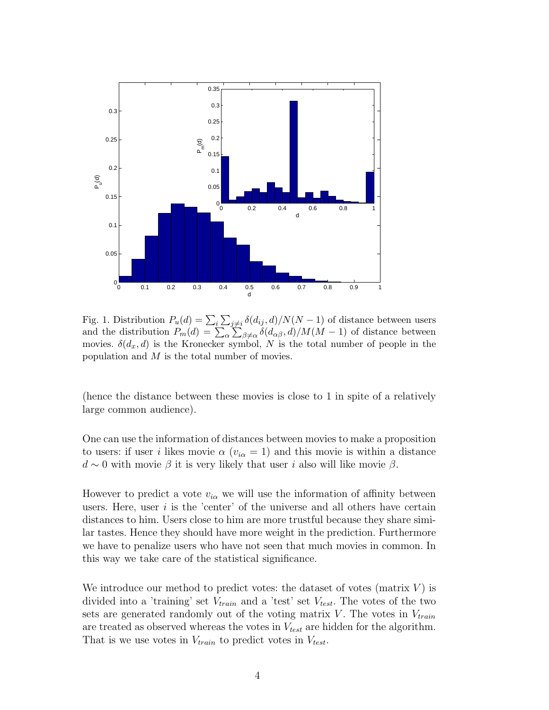

Fig. 1. Distribution  $P_u(d) = \sum_i \sum_{j \neq i} \delta(d_{ij}, d)/N(N-1)$  of distance between users and the distribution  $P_m(d) = \sum_{\alpha} \sum_{\beta \neq \alpha} \delta(d_{\alpha\beta}, d) / M(M - 1)$  of distance between movies.  $\delta(d_x, d)$  is the Kronecker symbol, N is the total number of people in the population and  $M$  is the total number of movies.

(hence the distance between these movies is close to 1 in spite of a relatively large common audience).

One can use the information of distances between movies to make a proposition to users: if user i likes movie  $\alpha$  ( $v_{i\alpha} = 1$ ) and this movie is within a distance  $d \sim 0$  with movie  $\beta$  it is very likely that user i also will like movie  $\beta$ .

However to predict a vote  $v_{i\alpha}$  we will use the information of affinity between users. Here, user  $i$  is the 'center' of the universe and all others have certain distances to him. Users close to him are more trustful because they share similar tastes. Hence they should have more weight in the prediction. Furthermore we have to penalize users who have not seen that much movies in common. In this way we take care of the statistical significance.

We introduce our method to predict votes: the dataset of votes (matrix  $V$ ) is divided into a 'training' set  $V_{train}$  and a 'test' set  $V_{test}$ . The votes of the two sets are generated randomly out of the voting matrix  $V$ . The votes in  $V_{train}$ are treated as observed whereas the votes in  $V_{test}$  are hidden for the algorithm. That is we use votes in  $V_{train}$  to predict votes in  $V_{test}$ .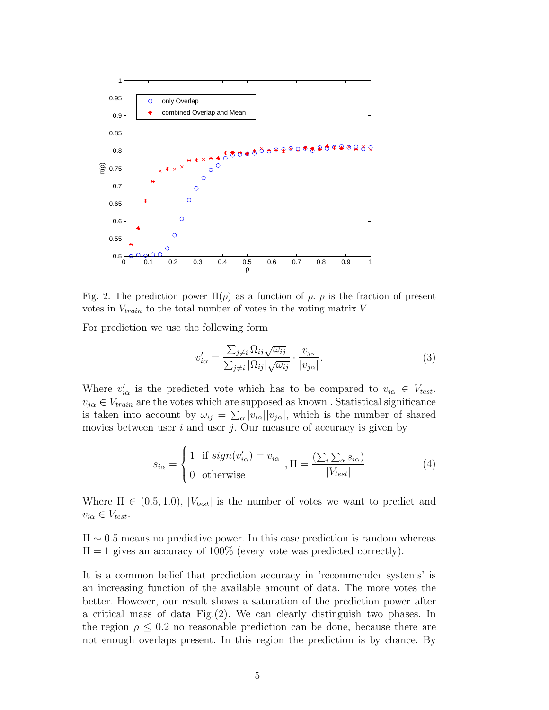

Fig. 2. The prediction power  $\Pi(\rho)$  as a function of  $\rho$ .  $\rho$  is the fraction of present votes in  $V_{train}$  to the total number of votes in the voting matrix V.

For prediction we use the following form

$$
v'_{i\alpha} = \frac{\sum_{j\neq i} \Omega_{ij} \sqrt{\omega_{ij}}}{\sum_{j\neq i} |\Omega_{ij}| \sqrt{\omega_{ij}}} \cdot \frac{v_{j\alpha}}{|v_{j\alpha}|}. \tag{3}
$$

Where  $v'_{i\alpha}$  is the predicted vote which has to be compared to  $v_{i\alpha} \in V_{test}$ .  $v_{j\alpha} \in V_{train}$  are the votes which are supposed as known. Statistical significance is taken into account by  $\omega_{ij} = \sum_{\alpha} |v_{i\alpha}| |v_{j\alpha}|$ , which is the number of shared movies between user  $i$  and user  $j$ . Our measure of accuracy is given by

$$
s_{i\alpha} = \begin{cases} 1 & \text{if } sign(v'_{i\alpha}) = v_{i\alpha} \\ 0 & \text{otherwise} \end{cases}, \Pi = \frac{\left(\sum_{i}\sum_{\alpha} s_{i\alpha}\right)}{|V_{test}|}
$$
(4)

Where  $\Pi \in (0.5, 1.0), |V_{test}|$  is the number of votes we want to predict and  $v_{i\alpha} \in V_{test}.$ 

 $\Pi \sim 0.5$  means no predictive power. In this case prediction is random whereas  $\Pi = 1$  gives an accuracy of 100% (every vote was predicted correctly).

It is a common belief that prediction accuracy in 'recommender systems' is an increasing function of the available amount of data. The more votes the better. However, our result shows a saturation of the prediction power after a critical mass of data Fig.(2). We can clearly distinguish two phases. In the region  $\rho \leq 0.2$  no reasonable prediction can be done, because there are not enough overlaps present. In this region the prediction is by chance. By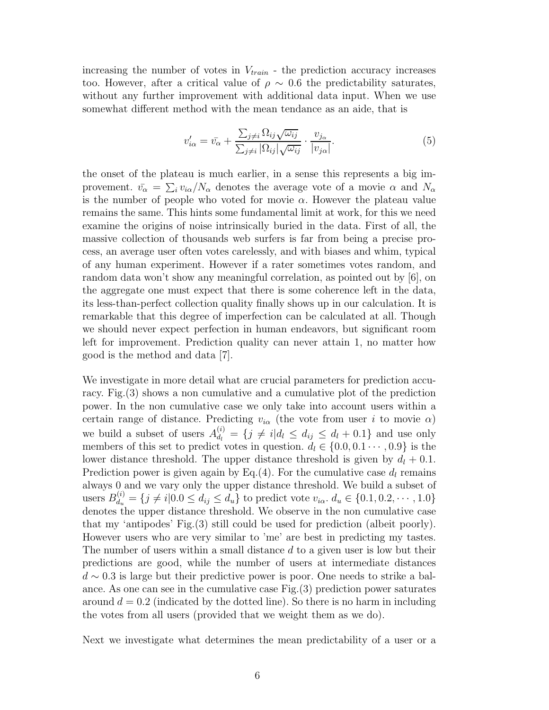increasing the number of votes in  $V_{train}$  - the prediction accuracy increases too. However, after a critical value of  $\rho \sim 0.6$  the predictability saturates, without any further improvement with additional data input. When we use somewhat different method with the mean tendance as an aide, that is

$$
v'_{i\alpha} = \bar{v_{\alpha}} + \frac{\sum_{j \neq i} \Omega_{ij} \sqrt{\omega_{ij}}}{\sum_{j \neq i} |\Omega_{ij}| \sqrt{\omega_{ij}}} \cdot \frac{v_{j\alpha}}{|v_{j\alpha}|}. \tag{5}
$$

the onset of the plateau is much earlier, in a sense this represents a big improvement.  $\bar{v_{\alpha}} = \sum_{i} v_{i\alpha}/N_{\alpha}$  denotes the average vote of a movie  $\alpha$  and  $N_{\alpha}$ is the number of people who voted for movie  $\alpha$ . However the plateau value remains the same. This hints some fundamental limit at work, for this we need examine the origins of noise intrinsically buried in the data. First of all, the massive collection of thousands web surfers is far from being a precise process, an average user often votes carelessly, and with biases and whim, typical of any human experiment. However if a rater sometimes votes random, and random data won't show any meaningful correlation, as pointed out by [6], on the aggregate one must expect that there is some coherence left in the data, its less-than-perfect collection quality finally shows up in our calculation. It is remarkable that this degree of imperfection can be calculated at all. Though we should never expect perfection in human endeavors, but significant room left for improvement. Prediction quality can never attain 1, no matter how good is the method and data [7].

We investigate in more detail what are crucial parameters for prediction accuracy. Fig.(3) shows a non cumulative and a cumulative plot of the prediction power. In the non cumulative case we only take into account users within a certain range of distance. Predicting  $v_{i\alpha}$  (the vote from user i to movie  $\alpha$ ) we build a subset of users  $A_{d_l}^{(i)} = \{j \neq i | d_l \leq d_{ij} \leq d_l + 0.1\}$  and use only members of this set to predict votes in question.  $d_l \in \{0.0, 0.1 \cdots, 0.9\}$  is the lower distance threshold. The upper distance threshold is given by  $d_l + 0.1$ . Prediction power is given again by Eq.(4). For the cumulative case  $d_l$  remains always 0 and we vary only the upper distance threshold. We build a subset of users  $B_{d_u}^{(i)} = \{j \neq i | 0.0 \leq d_{ij} \leq d_u\}$  to predict vote  $v_{i\alpha}$ .  $d_u \in \{0.1, 0.2, \cdots, 1.0\}$ denotes the upper distance threshold. We observe in the non cumulative case that my 'antipodes' Fig.(3) still could be used for prediction (albeit poorly). However users who are very similar to 'me' are best in predicting my tastes. The number of users within a small distance d to a given user is low but their predictions are good, while the number of users at intermediate distances  $d \sim 0.3$  is large but their predictive power is poor. One needs to strike a balance. As one can see in the cumulative case Fig.(3) prediction power saturates around  $d = 0.2$  (indicated by the dotted line). So there is no harm in including the votes from all users (provided that we weight them as we do).

Next we investigate what determines the mean predictability of a user or a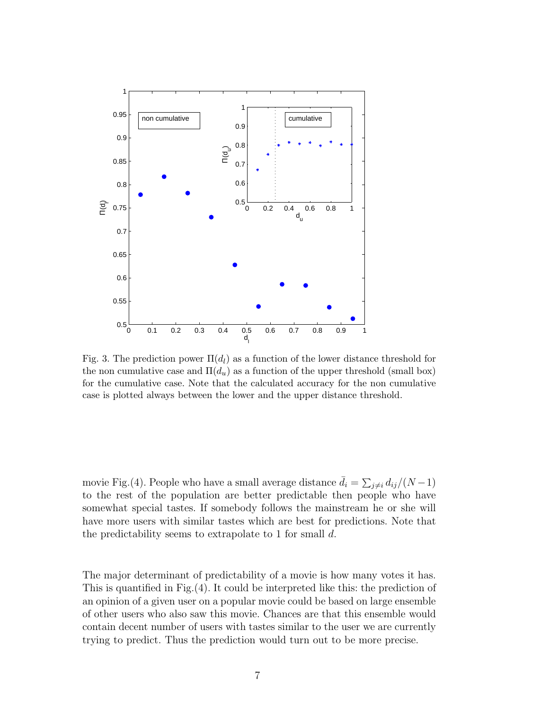

Fig. 3. The prediction power  $\Pi(d_l)$  as a function of the lower distance threshold for the non cumulative case and  $\Pi(d_u)$  as a function of the upper threshold (small box) for the cumulative case. Note that the calculated accuracy for the non cumulative case is plotted always between the lower and the upper distance threshold.

movie Fig.(4). People who have a small average distance  $\bar{d}_i = \sum_{j \neq i} d_{ij} / (N - 1)$ to the rest of the population are better predictable then people who have somewhat special tastes. If somebody follows the mainstream he or she will have more users with similar tastes which are best for predictions. Note that the predictability seems to extrapolate to 1 for small d.

The major determinant of predictability of a movie is how many votes it has. This is quantified in Fig.(4). It could be interpreted like this: the prediction of an opinion of a given user on a popular movie could be based on large ensemble of other users who also saw this movie. Chances are that this ensemble would contain decent number of users with tastes similar to the user we are currently trying to predict. Thus the prediction would turn out to be more precise.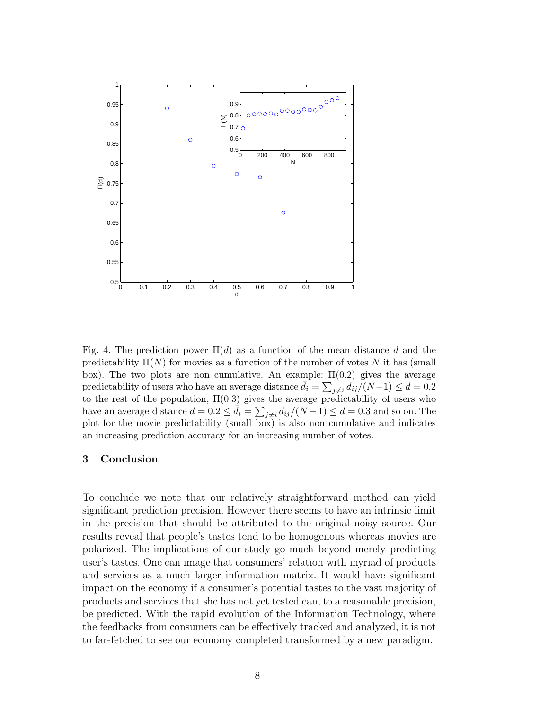

Fig. 4. The prediction power  $\Pi(d)$  as a function of the mean distance d and the predictability  $\Pi(N)$  for movies as a function of the number of votes N it has (small box). The two plots are non cumulative. An example:  $\Pi(0.2)$  gives the average predictability of users who have an average distance  $\bar{d}_i = \sum_{j \neq i} d_{ij} / (N-1) \leq d = 0.2$ to the rest of the population,  $\Pi(0.3)$  gives the average predictability of users who have an average distance  $d = 0.2 \le \bar{d}_i = \sum_{j \ne i} d_{ij} / (N - 1) \le d = 0.3$  and so on. The plot for the movie predictability (small box) is also non cumulative and indicates an increasing prediction accuracy for an increasing number of votes.

#### 3 Conclusion

To conclude we note that our relatively straightforward method can yield significant prediction precision. However there seems to have an intrinsic limit in the precision that should be attributed to the original noisy source. Our results reveal that people's tastes tend to be homogenous whereas movies are polarized. The implications of our study go much beyond merely predicting user's tastes. One can image that consumers' relation with myriad of products and services as a much larger information matrix. It would have significant impact on the economy if a consumer's potential tastes to the vast majority of products and services that she has not yet tested can, to a reasonable precision, be predicted. With the rapid evolution of the Information Technology, where the feedbacks from consumers can be effectively tracked and analyzed, it is not to far-fetched to see our economy completed transformed by a new paradigm.